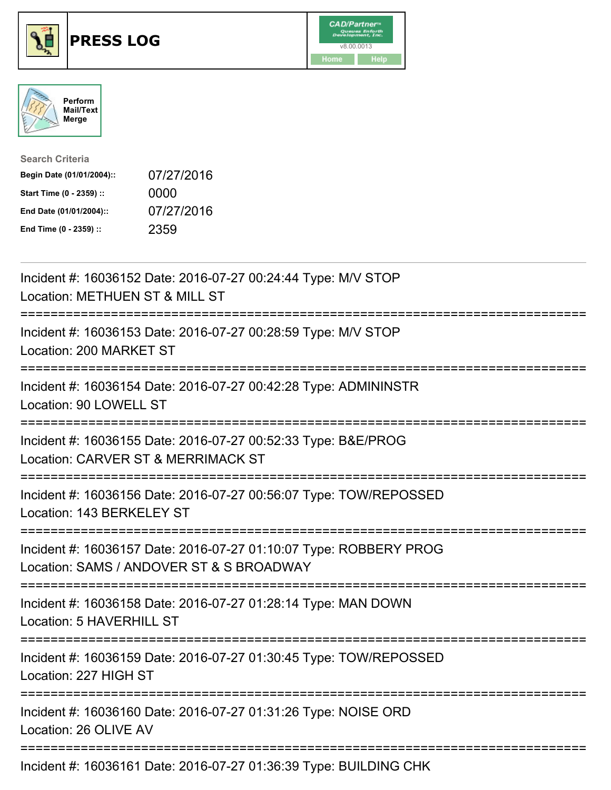





| <b>Search Criteria</b>    |            |
|---------------------------|------------|
| Begin Date (01/01/2004):: | 07/27/2016 |
| Start Time (0 - 2359) ::  | 0000       |
| End Date (01/01/2004)::   | 07/27/2016 |
| End Time (0 - 2359) ::    | 2359       |

| Incident #: 16036152 Date: 2016-07-27 00:24:44 Type: M/V STOP<br>Location: METHUEN ST & MILL ST                    |
|--------------------------------------------------------------------------------------------------------------------|
| Incident #: 16036153 Date: 2016-07-27 00:28:59 Type: M/V STOP<br>Location: 200 MARKET ST                           |
| Incident #: 16036154 Date: 2016-07-27 00:42:28 Type: ADMININSTR<br>Location: 90 LOWELL ST                          |
| Incident #: 16036155 Date: 2016-07-27 00:52:33 Type: B&E/PROG<br>Location: CARVER ST & MERRIMACK ST                |
| Incident #: 16036156 Date: 2016-07-27 00:56:07 Type: TOW/REPOSSED<br>Location: 143 BERKELEY ST<br>---------------- |
| Incident #: 16036157 Date: 2016-07-27 01:10:07 Type: ROBBERY PROG<br>Location: SAMS / ANDOVER ST & S BROADWAY      |
| Incident #: 16036158 Date: 2016-07-27 01:28:14 Type: MAN DOWN<br>Location: 5 HAVERHILL ST                          |
| Incident #: 16036159 Date: 2016-07-27 01:30:45 Type: TOW/REPOSSED<br>Location: 227 HIGH ST                         |
| Incident #: 16036160 Date: 2016-07-27 01:31:26 Type: NOISE ORD<br>Location: 26 OLIVE AV                            |
| Incident #: 16036161 Date: 2016-07-27 01:36:39 Type: BUILDING CHK                                                  |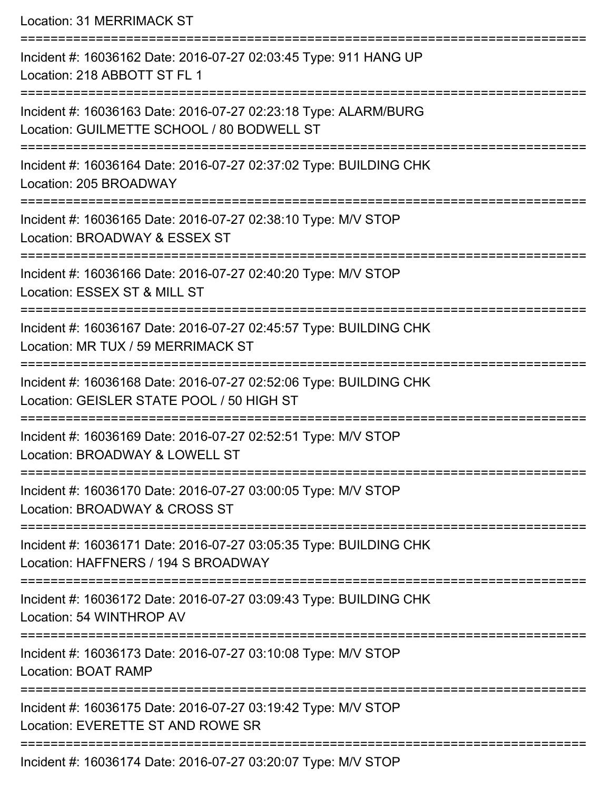Location: 31 MERRIMACK ST =========================================================================== Incident #: 16036162 Date: 2016-07-27 02:03:45 Type: 911 HANG UP Location: 218 ABBOTT ST FL 1 =========================================================================== Incident #: 16036163 Date: 2016-07-27 02:23:18 Type: ALARM/BURG Location: GUILMETTE SCHOOL / 80 BODWELL ST =========================================================================== Incident #: 16036164 Date: 2016-07-27 02:37:02 Type: BUILDING CHK Location: 205 BROADWAY =========================================================================== Incident #: 16036165 Date: 2016-07-27 02:38:10 Type: M/V STOP Location: BROADWAY & ESSEX ST =========================================================================== Incident #: 16036166 Date: 2016-07-27 02:40:20 Type: M/V STOP Location: ESSEX ST & MILL ST =========================================================================== Incident #: 16036167 Date: 2016-07-27 02:45:57 Type: BUILDING CHK Location: MR TUX / 59 MERRIMACK ST =========================================================================== Incident #: 16036168 Date: 2016-07-27 02:52:06 Type: BUILDING CHK Location: GEISLER STATE POOL / 50 HIGH ST =========================================================================== Incident #: 16036169 Date: 2016-07-27 02:52:51 Type: M/V STOP Location: BROADWAY & LOWELL ST =========================================================================== Incident #: 16036170 Date: 2016-07-27 03:00:05 Type: M/V STOP Location: BROADWAY & CROSS ST =========================================================================== Incident #: 16036171 Date: 2016-07-27 03:05:35 Type: BUILDING CHK Location: HAFFNERS / 194 S BROADWAY =========================================================================== Incident #: 16036172 Date: 2016-07-27 03:09:43 Type: BUILDING CHK Location: 54 WINTHROP AV =========================================================================== Incident #: 16036173 Date: 2016-07-27 03:10:08 Type: M/V STOP Location: BOAT RAMP ===========================================================================

Incident #: 16036175 Date: 2016-07-27 03:19:42 Type: M/V STOP

Location: EVERETTE ST AND ROWE SR

===========================================================================

Incident #: 16036174 Date: 2016-07-27 03:20:07 Type: M/V STOP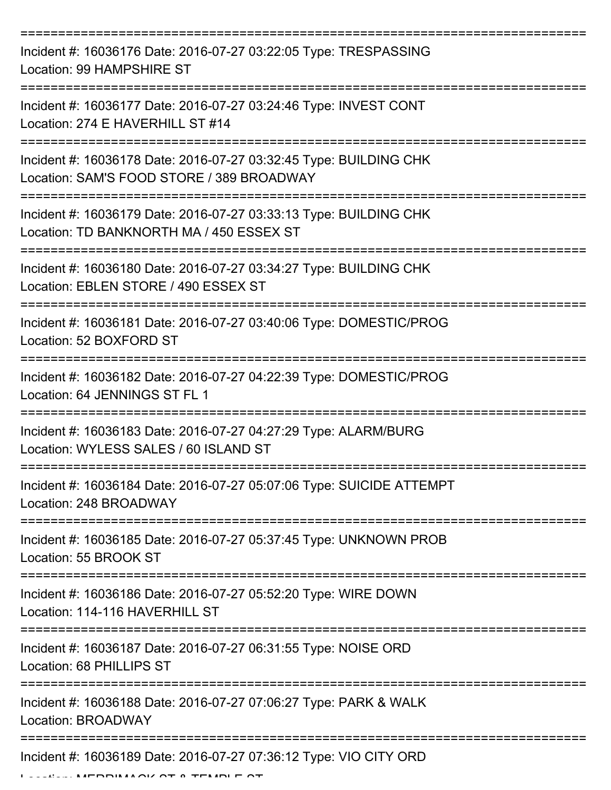| Incident #: 16036176 Date: 2016-07-27 03:22:05 Type: TRESPASSING<br>Location: 99 HAMPSHIRE ST                  |
|----------------------------------------------------------------------------------------------------------------|
| Incident #: 16036177 Date: 2016-07-27 03:24:46 Type: INVEST CONT<br>Location: 274 E HAVERHILL ST #14           |
| Incident #: 16036178 Date: 2016-07-27 03:32:45 Type: BUILDING CHK<br>Location: SAM'S FOOD STORE / 389 BROADWAY |
| Incident #: 16036179 Date: 2016-07-27 03:33:13 Type: BUILDING CHK<br>Location: TD BANKNORTH MA / 450 ESSEX ST  |
| Incident #: 16036180 Date: 2016-07-27 03:34:27 Type: BUILDING CHK<br>Location: EBLEN STORE / 490 ESSEX ST      |
| Incident #: 16036181 Date: 2016-07-27 03:40:06 Type: DOMESTIC/PROG<br>Location: 52 BOXFORD ST                  |
| Incident #: 16036182 Date: 2016-07-27 04:22:39 Type: DOMESTIC/PROG<br>Location: 64 JENNINGS ST FL 1            |
| Incident #: 16036183 Date: 2016-07-27 04:27:29 Type: ALARM/BURG<br>Location: WYLESS SALES / 60 ISLAND ST       |
| Incident #: 16036184 Date: 2016-07-27 05:07:06 Type: SUICIDE ATTEMPT<br>Location: 248 BROADWAY                 |
| Incident #: 16036185 Date: 2016-07-27 05:37:45 Type: UNKNOWN PROB<br>Location: 55 BROOK ST                     |
| Incident #: 16036186 Date: 2016-07-27 05:52:20 Type: WIRE DOWN<br>Location: 114-116 HAVERHILL ST               |
| Incident #: 16036187 Date: 2016-07-27 06:31:55 Type: NOISE ORD<br>Location: 68 PHILLIPS ST                     |
| Incident #: 16036188 Date: 2016-07-27 07:06:27 Type: PARK & WALK<br>Location: BROADWAY                         |
| Incident #: 16036189 Date: 2016-07-27 07:36:12 Type: VIO CITY ORD                                              |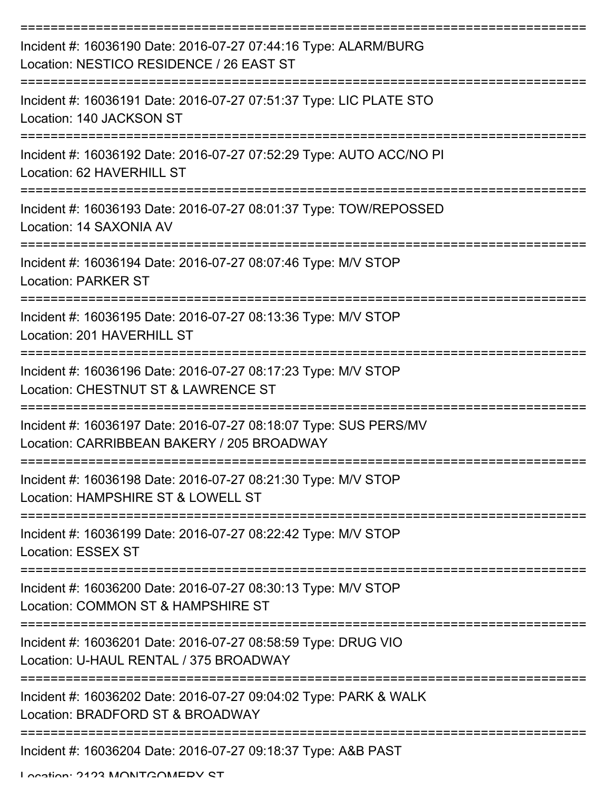| Incident #: 16036190 Date: 2016-07-27 07:44:16 Type: ALARM/BURG<br>Location: NESTICO RESIDENCE / 26 EAST ST    |
|----------------------------------------------------------------------------------------------------------------|
| Incident #: 16036191 Date: 2016-07-27 07:51:37 Type: LIC PLATE STO<br>Location: 140 JACKSON ST                 |
| Incident #: 16036192 Date: 2016-07-27 07:52:29 Type: AUTO ACC/NO PI<br>Location: 62 HAVERHILL ST               |
| Incident #: 16036193 Date: 2016-07-27 08:01:37 Type: TOW/REPOSSED<br>Location: 14 SAXONIA AV                   |
| Incident #: 16036194 Date: 2016-07-27 08:07:46 Type: M/V STOP<br><b>Location: PARKER ST</b>                    |
| Incident #: 16036195 Date: 2016-07-27 08:13:36 Type: M/V STOP<br>Location: 201 HAVERHILL ST                    |
| Incident #: 16036196 Date: 2016-07-27 08:17:23 Type: M/V STOP<br>Location: CHESTNUT ST & LAWRENCE ST           |
| Incident #: 16036197 Date: 2016-07-27 08:18:07 Type: SUS PERS/MV<br>Location: CARRIBBEAN BAKERY / 205 BROADWAY |
| Incident #: 16036198 Date: 2016-07-27 08:21:30 Type: M/V STOP<br>Location: HAMPSHIRE ST & LOWELL ST            |
| Incident #: 16036199 Date: 2016-07-27 08:22:42 Type: M/V STOP<br><b>Location: ESSEX ST</b>                     |
| Incident #: 16036200 Date: 2016-07-27 08:30:13 Type: M/V STOP<br>Location: COMMON ST & HAMPSHIRE ST            |
| Incident #: 16036201 Date: 2016-07-27 08:58:59 Type: DRUG VIO<br>Location: U-HAUL RENTAL / 375 BROADWAY        |
| Incident #: 16036202 Date: 2016-07-27 09:04:02 Type: PARK & WALK<br>Location: BRADFORD ST & BROADWAY           |
| Incident #: 16036204 Date: 2016-07-27 09:18:37 Type: A&B PAST                                                  |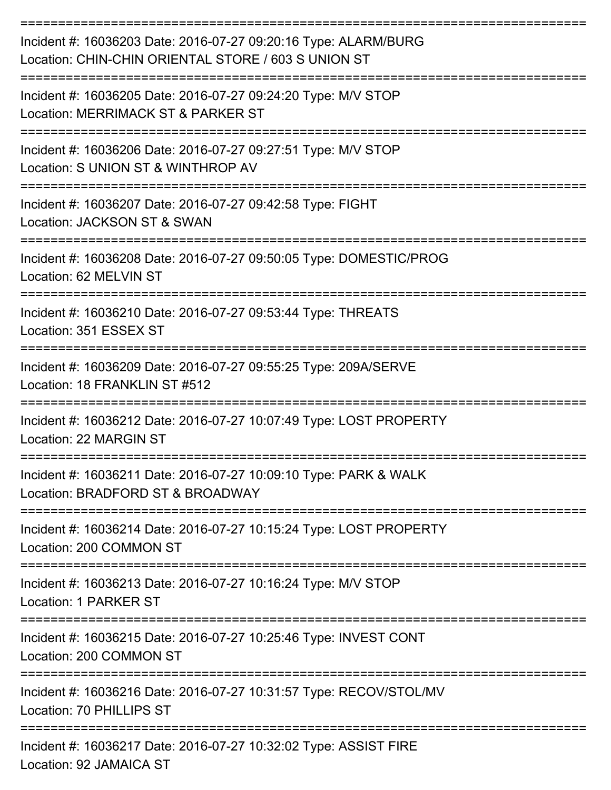| Incident #: 16036203 Date: 2016-07-27 09:20:16 Type: ALARM/BURG<br>Location: CHIN-CHIN ORIENTAL STORE / 603 S UNION ST |
|------------------------------------------------------------------------------------------------------------------------|
| Incident #: 16036205 Date: 2016-07-27 09:24:20 Type: M/V STOP<br>Location: MERRIMACK ST & PARKER ST                    |
| Incident #: 16036206 Date: 2016-07-27 09:27:51 Type: M/V STOP<br>Location: S UNION ST & WINTHROP AV                    |
| Incident #: 16036207 Date: 2016-07-27 09:42:58 Type: FIGHT<br>Location: JACKSON ST & SWAN                              |
| Incident #: 16036208 Date: 2016-07-27 09:50:05 Type: DOMESTIC/PROG<br>Location: 62 MELVIN ST                           |
| Incident #: 16036210 Date: 2016-07-27 09:53:44 Type: THREATS<br>Location: 351 ESSEX ST                                 |
| Incident #: 16036209 Date: 2016-07-27 09:55:25 Type: 209A/SERVE<br>Location: 18 FRANKLIN ST #512                       |
| Incident #: 16036212 Date: 2016-07-27 10:07:49 Type: LOST PROPERTY<br>Location: 22 MARGIN ST                           |
| Incident #: 16036211 Date: 2016-07-27 10:09:10 Type: PARK & WALK<br>Location: BRADFORD ST & BROADWAY                   |
| Incident #: 16036214 Date: 2016-07-27 10:15:24 Type: LOST PROPERTY<br>Location: 200 COMMON ST                          |
| Incident #: 16036213 Date: 2016-07-27 10:16:24 Type: M/V STOP<br>Location: 1 PARKER ST                                 |
| Incident #: 16036215 Date: 2016-07-27 10:25:46 Type: INVEST CONT<br>Location: 200 COMMON ST                            |
| Incident #: 16036216 Date: 2016-07-27 10:31:57 Type: RECOV/STOL/MV<br>Location: 70 PHILLIPS ST                         |
| Incident #: 16036217 Date: 2016-07-27 10:32:02 Type: ASSIST FIRE<br>Location: 92 JAMAICA ST                            |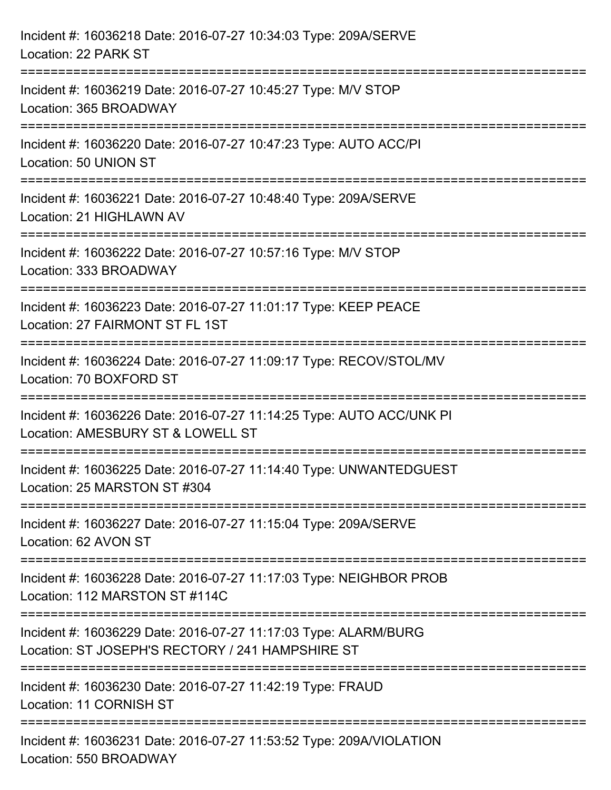| Incident #: 16036218 Date: 2016-07-27 10:34:03 Type: 209A/SERVE<br>Location: 22 PARK ST                                                                        |
|----------------------------------------------------------------------------------------------------------------------------------------------------------------|
| Incident #: 16036219 Date: 2016-07-27 10:45:27 Type: M/V STOP<br>Location: 365 BROADWAY                                                                        |
| Incident #: 16036220 Date: 2016-07-27 10:47:23 Type: AUTO ACC/PI<br>Location: 50 UNION ST                                                                      |
| Incident #: 16036221 Date: 2016-07-27 10:48:40 Type: 209A/SERVE<br>Location: 21 HIGHLAWN AV                                                                    |
| Incident #: 16036222 Date: 2016-07-27 10:57:16 Type: M/V STOP<br>Location: 333 BROADWAY                                                                        |
| Incident #: 16036223 Date: 2016-07-27 11:01:17 Type: KEEP PEACE<br>Location: 27 FAIRMONT ST FL 1ST                                                             |
| :====================<br>------------------------------------<br>Incident #: 16036224 Date: 2016-07-27 11:09:17 Type: RECOV/STOL/MV<br>Location: 70 BOXFORD ST |
| Incident #: 16036226 Date: 2016-07-27 11:14:25 Type: AUTO ACC/UNK PI<br>Location: AMESBURY ST & LOWELL ST                                                      |
| Incident #: 16036225 Date: 2016-07-27 11:14:40 Type: UNWANTEDGUEST<br>Location: 25 MARSTON ST #304                                                             |
| Incident #: 16036227 Date: 2016-07-27 11:15:04 Type: 209A/SERVE<br>Location: 62 AVON ST                                                                        |
| Incident #: 16036228 Date: 2016-07-27 11:17:03 Type: NEIGHBOR PROB<br>Location: 112 MARSTON ST #114C                                                           |
| Incident #: 16036229 Date: 2016-07-27 11:17:03 Type: ALARM/BURG<br>Location: ST JOSEPH'S RECTORY / 241 HAMPSHIRE ST                                            |
| Incident #: 16036230 Date: 2016-07-27 11:42:19 Type: FRAUD<br>Location: 11 CORNISH ST                                                                          |
| Incident #: 16036231 Date: 2016-07-27 11:53:52 Type: 209A/VIOLATION<br>Location: 550 BROADWAY                                                                  |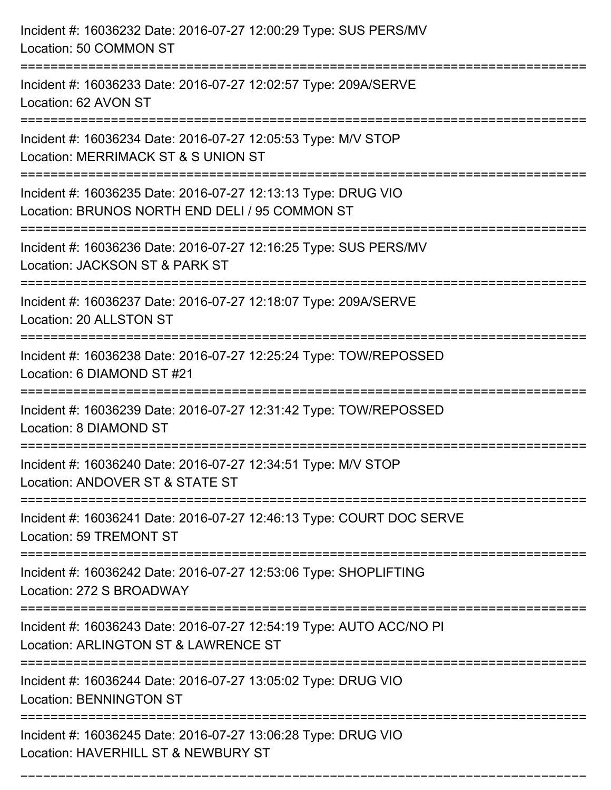| Incident #: 16036232 Date: 2016-07-27 12:00:29 Type: SUS PERS/MV<br>Location: 50 COMMON ST                                                |
|-------------------------------------------------------------------------------------------------------------------------------------------|
| Incident #: 16036233 Date: 2016-07-27 12:02:57 Type: 209A/SERVE<br>Location: 62 AVON ST                                                   |
| Incident #: 16036234 Date: 2016-07-27 12:05:53 Type: M/V STOP<br>Location: MERRIMACK ST & S UNION ST<br>==================                |
| Incident #: 16036235 Date: 2016-07-27 12:13:13 Type: DRUG VIO<br>Location: BRUNOS NORTH END DELI / 95 COMMON ST                           |
| Incident #: 16036236 Date: 2016-07-27 12:16:25 Type: SUS PERS/MV<br>Location: JACKSON ST & PARK ST<br>=================================== |
| Incident #: 16036237 Date: 2016-07-27 12:18:07 Type: 209A/SERVE<br>Location: 20 ALLSTON ST                                                |
| Incident #: 16036238 Date: 2016-07-27 12:25:24 Type: TOW/REPOSSED<br>Location: 6 DIAMOND ST #21                                           |
| Incident #: 16036239 Date: 2016-07-27 12:31:42 Type: TOW/REPOSSED<br>Location: 8 DIAMOND ST                                               |
| Incident #: 16036240 Date: 2016-07-27 12:34:51 Type: M/V STOP<br>Location: ANDOVER ST & STATE ST                                          |
| Incident #: 16036241 Date: 2016-07-27 12:46:13 Type: COURT DOC SERVE<br>Location: 59 TREMONT ST                                           |
| Incident #: 16036242 Date: 2016-07-27 12:53:06 Type: SHOPLIFTING<br>Location: 272 S BROADWAY                                              |
| Incident #: 16036243 Date: 2016-07-27 12:54:19 Type: AUTO ACC/NO PI<br>Location: ARLINGTON ST & LAWRENCE ST                               |
| Incident #: 16036244 Date: 2016-07-27 13:05:02 Type: DRUG VIO<br><b>Location: BENNINGTON ST</b>                                           |
| Incident #: 16036245 Date: 2016-07-27 13:06:28 Type: DRUG VIO<br>Location: HAVERHILL ST & NEWBURY ST                                      |

===========================================================================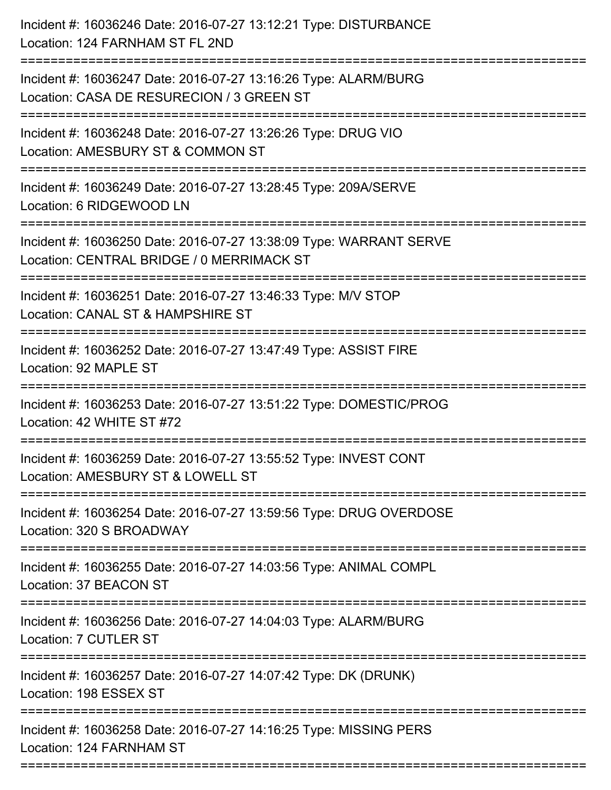| Incident #: 16036246 Date: 2016-07-27 13:12:21 Type: DISTURBANCE<br>Location: 124 FARNHAM ST FL 2ND                                |
|------------------------------------------------------------------------------------------------------------------------------------|
| Incident #: 16036247 Date: 2016-07-27 13:16:26 Type: ALARM/BURG<br>Location: CASA DE RESURECION / 3 GREEN ST                       |
| Incident #: 16036248 Date: 2016-07-27 13:26:26 Type: DRUG VIO<br>Location: AMESBURY ST & COMMON ST<br>============================ |
| Incident #: 16036249 Date: 2016-07-27 13:28:45 Type: 209A/SERVE<br>Location: 6 RIDGEWOOD LN                                        |
| Incident #: 16036250 Date: 2016-07-27 13:38:09 Type: WARRANT SERVE<br>Location: CENTRAL BRIDGE / 0 MERRIMACK ST                    |
| Incident #: 16036251 Date: 2016-07-27 13:46:33 Type: M/V STOP<br>Location: CANAL ST & HAMPSHIRE ST                                 |
| Incident #: 16036252 Date: 2016-07-27 13:47:49 Type: ASSIST FIRE<br>Location: 92 MAPLE ST                                          |
| Incident #: 16036253 Date: 2016-07-27 13:51:22 Type: DOMESTIC/PROG<br>Location: 42 WHITE ST #72                                    |
| Incident #: 16036259 Date: 2016-07-27 13:55:52 Type: INVEST CONT<br>Location: AMESBURY ST & LOWELL ST                              |
| Incident #: 16036254 Date: 2016-07-27 13:59:56 Type: DRUG OVERDOSE<br>Location: 320 S BROADWAY                                     |
| Incident #: 16036255 Date: 2016-07-27 14:03:56 Type: ANIMAL COMPL<br>Location: 37 BEACON ST                                        |
| Incident #: 16036256 Date: 2016-07-27 14:04:03 Type: ALARM/BURG<br><b>Location: 7 CUTLER ST</b>                                    |
| Incident #: 16036257 Date: 2016-07-27 14:07:42 Type: DK (DRUNK)<br>Location: 198 ESSEX ST                                          |
| Incident #: 16036258 Date: 2016-07-27 14:16:25 Type: MISSING PERS<br>Location: 124 FARNHAM ST                                      |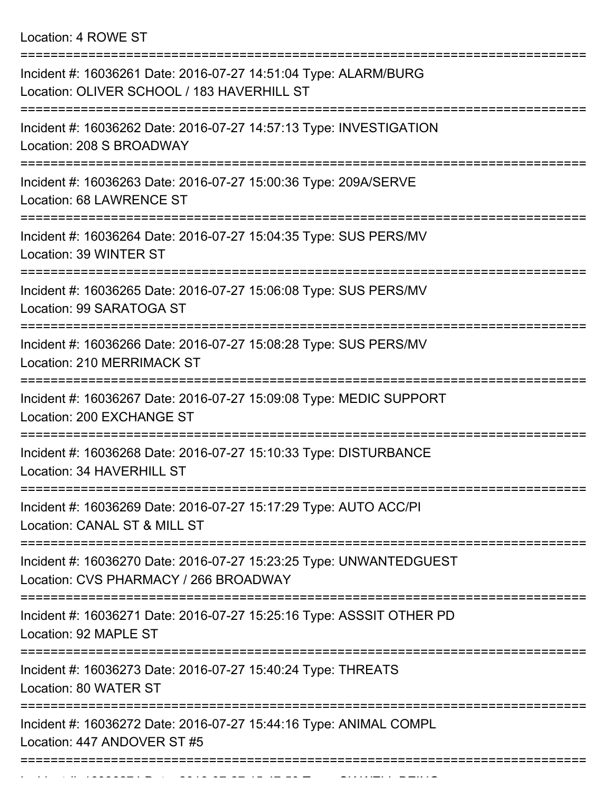Location: 4 ROWE ST

| Incident #: 16036261 Date: 2016-07-27 14:51:04 Type: ALARM/BURG<br>Location: OLIVER SCHOOL / 183 HAVERHILL ST |
|---------------------------------------------------------------------------------------------------------------|
| Incident #: 16036262 Date: 2016-07-27 14:57:13 Type: INVESTIGATION<br>Location: 208 S BROADWAY                |
| Incident #: 16036263 Date: 2016-07-27 15:00:36 Type: 209A/SERVE<br><b>Location: 68 LAWRENCE ST</b>            |
| Incident #: 16036264 Date: 2016-07-27 15:04:35 Type: SUS PERS/MV<br>Location: 39 WINTER ST                    |
| Incident #: 16036265 Date: 2016-07-27 15:06:08 Type: SUS PERS/MV<br>Location: 99 SARATOGA ST                  |
| Incident #: 16036266 Date: 2016-07-27 15:08:28 Type: SUS PERS/MV<br>Location: 210 MERRIMACK ST                |
| Incident #: 16036267 Date: 2016-07-27 15:09:08 Type: MEDIC SUPPORT<br>Location: 200 EXCHANGE ST               |
| Incident #: 16036268 Date: 2016-07-27 15:10:33 Type: DISTURBANCE<br>Location: 34 HAVERHILL ST                 |
| Incident #: 16036269 Date: 2016-07-27 15:17:29 Type: AUTO ACC/PI<br>Location: CANAL ST & MILL ST              |
| Incident #: 16036270 Date: 2016-07-27 15:23:25 Type: UNWANTEDGUEST<br>Location: CVS PHARMACY / 266 BROADWAY   |
| Incident #: 16036271 Date: 2016-07-27 15:25:16 Type: ASSSIT OTHER PD<br>Location: 92 MAPLE ST                 |
| Incident #: 16036273 Date: 2016-07-27 15:40:24 Type: THREATS<br>Location: 80 WATER ST                         |
| Incident #: 16036272 Date: 2016-07-27 15:44:16 Type: ANIMAL COMPL<br>Location: 447 ANDOVER ST #5              |
| ----------------------------------                                                                            |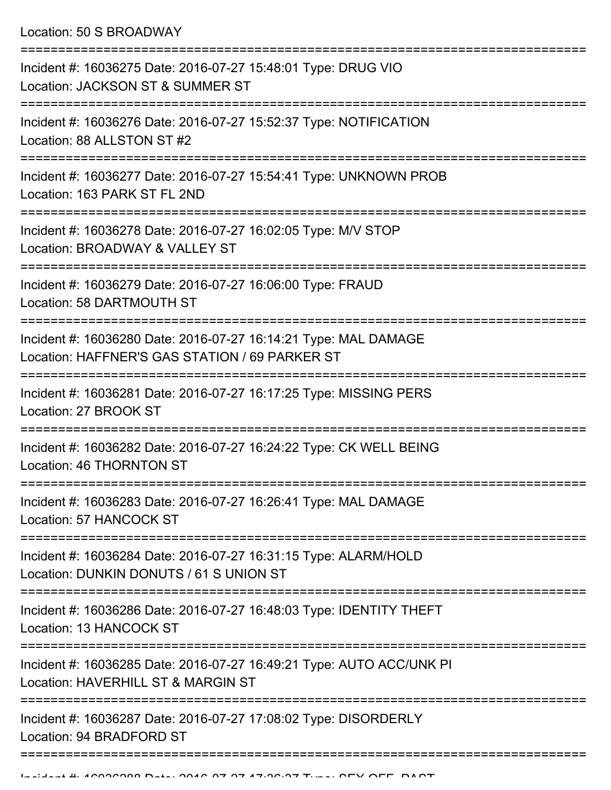Location: 50 S BROADWAY

| Incident #: 16036275 Date: 2016-07-27 15:48:01 Type: DRUG VIO<br>Location: JACKSON ST & SUMMER ST                 |
|-------------------------------------------------------------------------------------------------------------------|
| Incident #: 16036276 Date: 2016-07-27 15:52:37 Type: NOTIFICATION<br>Location: 88 ALLSTON ST #2                   |
| Incident #: 16036277 Date: 2016-07-27 15:54:41 Type: UNKNOWN PROB<br>Location: 163 PARK ST FL 2ND                 |
| Incident #: 16036278 Date: 2016-07-27 16:02:05 Type: M/V STOP<br>Location: BROADWAY & VALLEY ST                   |
| Incident #: 16036279 Date: 2016-07-27 16:06:00 Type: FRAUD<br>Location: 58 DARTMOUTH ST                           |
| Incident #: 16036280 Date: 2016-07-27 16:14:21 Type: MAL DAMAGE<br>Location: HAFFNER'S GAS STATION / 69 PARKER ST |
| Incident #: 16036281 Date: 2016-07-27 16:17:25 Type: MISSING PERS<br>Location: 27 BROOK ST                        |
| Incident #: 16036282 Date: 2016-07-27 16:24:22 Type: CK WELL BEING<br>Location: 46 THORNTON ST                    |
| Incident #: 16036283 Date: 2016-07-27 16:26:41 Type: MAL DAMAGE<br>Location: 57 HANCOCK ST                        |
| Incident #: 16036284 Date: 2016-07-27 16:31:15 Type: ALARM/HOLD<br>Location: DUNKIN DONUTS / 61 S UNION ST        |
| Incident #: 16036286 Date: 2016-07-27 16:48:03 Type: IDENTITY THEFT<br>Location: 13 HANCOCK ST                    |
| Incident #: 16036285 Date: 2016-07-27 16:49:21 Type: AUTO ACC/UNK PI<br>Location: HAVERHILL ST & MARGIN ST        |
| Incident #: 16036287 Date: 2016-07-27 17:08:02 Type: DISORDERLY<br>Location: 94 BRADFORD ST                       |
|                                                                                                                   |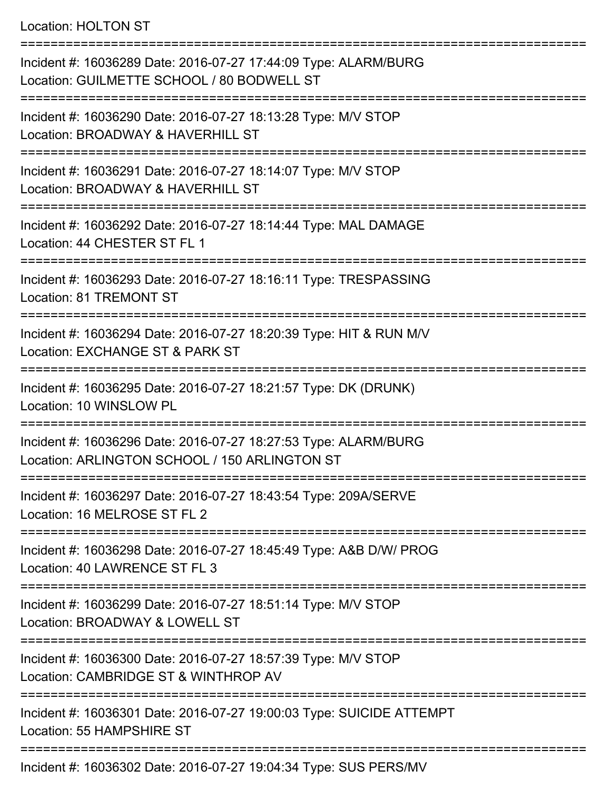## Location: HOLTON ST

| Incident #: 16036289 Date: 2016-07-27 17:44:09 Type: ALARM/BURG<br>Location: GUILMETTE SCHOOL / 80 BODWELL ST    |
|------------------------------------------------------------------------------------------------------------------|
| Incident #: 16036290 Date: 2016-07-27 18:13:28 Type: M/V STOP<br>Location: BROADWAY & HAVERHILL ST               |
| Incident #: 16036291 Date: 2016-07-27 18:14:07 Type: M/V STOP<br>Location: BROADWAY & HAVERHILL ST               |
| Incident #: 16036292 Date: 2016-07-27 18:14:44 Type: MAL DAMAGE<br>Location: 44 CHESTER ST FL 1                  |
| Incident #: 16036293 Date: 2016-07-27 18:16:11 Type: TRESPASSING<br><b>Location: 81 TREMONT ST</b>               |
| Incident #: 16036294 Date: 2016-07-27 18:20:39 Type: HIT & RUN M/V<br>Location: EXCHANGE ST & PARK ST            |
| Incident #: 16036295 Date: 2016-07-27 18:21:57 Type: DK (DRUNK)<br>Location: 10 WINSLOW PL                       |
| Incident #: 16036296 Date: 2016-07-27 18:27:53 Type: ALARM/BURG<br>Location: ARLINGTON SCHOOL / 150 ARLINGTON ST |
| Incident #: 16036297 Date: 2016-07-27 18:43:54 Type: 209A/SERVE<br>Location: 16 MELROSE ST FL 2                  |
| Incident #: 16036298 Date: 2016-07-27 18:45:49 Type: A&B D/W/ PROG<br>Location: 40 LAWRENCE ST FL 3              |
| Incident #: 16036299 Date: 2016-07-27 18:51:14 Type: M/V STOP<br>Location: BROADWAY & LOWELL ST                  |
| Incident #: 16036300 Date: 2016-07-27 18:57:39 Type: M/V STOP<br>Location: CAMBRIDGE ST & WINTHROP AV            |
| Incident #: 16036301 Date: 2016-07-27 19:00:03 Type: SUICIDE ATTEMPT<br>Location: 55 HAMPSHIRE ST                |
|                                                                                                                  |

Incident #: 16036302 Date: 2016-07-27 19:04:34 Type: SUS PERS/MV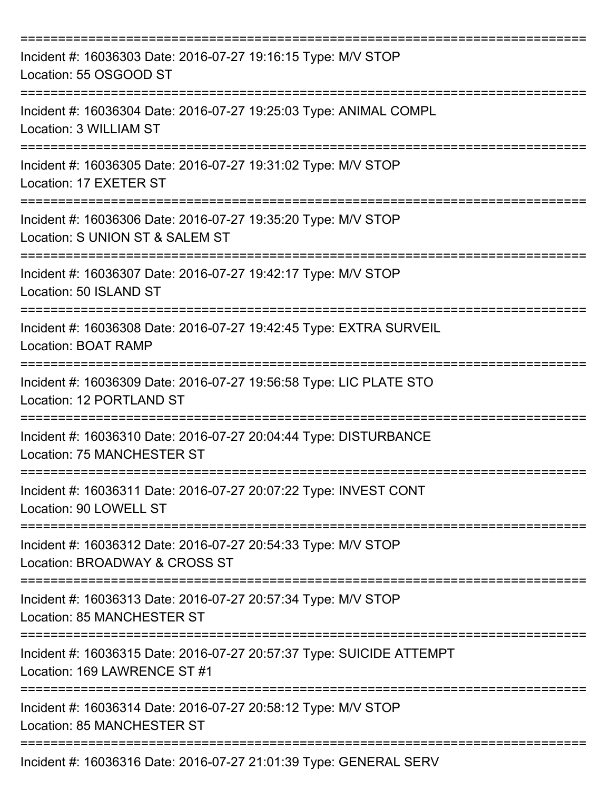| Incident #: 16036303 Date: 2016-07-27 19:16:15 Type: M/V STOP<br>Location: 55 OSGOOD ST              |
|------------------------------------------------------------------------------------------------------|
| Incident #: 16036304 Date: 2016-07-27 19:25:03 Type: ANIMAL COMPL<br>Location: 3 WILLIAM ST          |
| Incident #: 16036305 Date: 2016-07-27 19:31:02 Type: M/V STOP<br>Location: 17 EXETER ST              |
| Incident #: 16036306 Date: 2016-07-27 19:35:20 Type: M/V STOP<br>Location: S UNION ST & SALEM ST     |
| Incident #: 16036307 Date: 2016-07-27 19:42:17 Type: M/V STOP<br>Location: 50 ISLAND ST              |
| Incident #: 16036308 Date: 2016-07-27 19:42:45 Type: EXTRA SURVEIL<br>Location: BOAT RAMP            |
| Incident #: 16036309 Date: 2016-07-27 19:56:58 Type: LIC PLATE STO<br>Location: 12 PORTLAND ST       |
| Incident #: 16036310 Date: 2016-07-27 20:04:44 Type: DISTURBANCE<br>Location: 75 MANCHESTER ST       |
| Incident #: 16036311 Date: 2016-07-27 20:07:22 Type: INVEST CONT<br>Location: 90 LOWELL ST           |
| Incident #: 16036312 Date: 2016-07-27 20:54:33 Type: M/V STOP<br>Location: BROADWAY & CROSS ST       |
| Incident #: 16036313 Date: 2016-07-27 20:57:34 Type: M/V STOP<br>Location: 85 MANCHESTER ST          |
| Incident #: 16036315 Date: 2016-07-27 20:57:37 Type: SUICIDE ATTEMPT<br>Location: 169 LAWRENCE ST #1 |
| Incident #: 16036314 Date: 2016-07-27 20:58:12 Type: M/V STOP<br><b>Location: 85 MANCHESTER ST</b>   |
| Incident #: 16036316 Date: 2016-07-27 21:01:39 Type: GENERAL SERV                                    |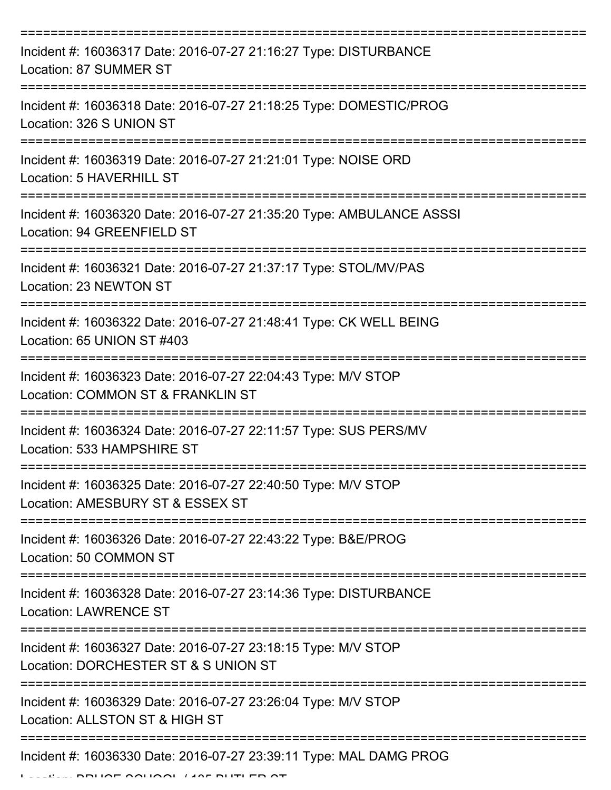| Incident #: 16036317 Date: 2016-07-27 21:16:27 Type: DISTURBANCE<br>Location: 87 SUMMER ST            |
|-------------------------------------------------------------------------------------------------------|
| Incident #: 16036318 Date: 2016-07-27 21:18:25 Type: DOMESTIC/PROG<br>Location: 326 S UNION ST        |
| Incident #: 16036319 Date: 2016-07-27 21:21:01 Type: NOISE ORD<br>Location: 5 HAVERHILL ST            |
| Incident #: 16036320 Date: 2016-07-27 21:35:20 Type: AMBULANCE ASSSI<br>Location: 94 GREENFIELD ST    |
| Incident #: 16036321 Date: 2016-07-27 21:37:17 Type: STOL/MV/PAS<br>Location: 23 NEWTON ST            |
| Incident #: 16036322 Date: 2016-07-27 21:48:41 Type: CK WELL BEING<br>Location: 65 UNION ST #403      |
| Incident #: 16036323 Date: 2016-07-27 22:04:43 Type: M/V STOP<br>Location: COMMON ST & FRANKLIN ST    |
| Incident #: 16036324 Date: 2016-07-27 22:11:57 Type: SUS PERS/MV<br>Location: 533 HAMPSHIRE ST        |
| Incident #: 16036325 Date: 2016-07-27 22:40:50 Type: M/V STOP<br>Location: AMESBURY ST & ESSEX ST     |
| Incident #: 16036326 Date: 2016-07-27 22:43:22 Type: B&E/PROG<br>Location: 50 COMMON ST               |
| Incident #: 16036328 Date: 2016-07-27 23:14:36 Type: DISTURBANCE<br><b>Location: LAWRENCE ST</b>      |
| Incident #: 16036327 Date: 2016-07-27 23:18:15 Type: M/V STOP<br>Location: DORCHESTER ST & S UNION ST |
| Incident #: 16036329 Date: 2016-07-27 23:26:04 Type: M/V STOP<br>Location: ALLSTON ST & HIGH ST       |
| Incident #: 16036330 Date: 2016-07-27 23:39:11 Type: MAL DAMG PROG                                    |